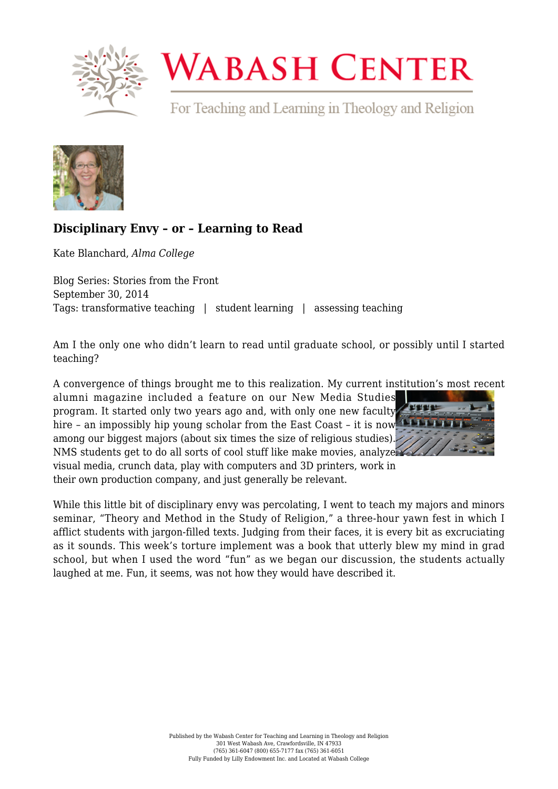

## **WABASH CENTER**

For Teaching and Learning in Theology and Religion



## **[Disciplinary Envy – or – Learning to Read](https://www.wabashcenter.wabash.edu/2014/09/disciplinary-envy-or-learning-to-read/)**

Kate Blanchard, *Alma College*

Blog Series: Stories from the Front September 30, 2014 Tags: transformative teaching | student learning | assessing teaching

Am I the only one who didn't learn to read until graduate school, or possibly until I started teaching?

A convergence of things brought me to this realization. My current institution's most recent

alumni magazine included a feature on our New Media Studies program. It started only two years ago and, with only one new faculty hire - an impossibly hip young scholar from the East Coast - it is now the Latin among our biggest majors (about six times the size of religious studies)[.](http://live-wabash.pantheonsite.io/wp-content/uploads/2016/07/6a016301e4b359970d01b8d073834f970c-pi.png) NMS students get to do all sorts of cool stuff like make movies, analyze



visual media, crunch data, play with computers and 3D printers, work in their own production company, and just generally be relevant.

While this little bit of disciplinary envy was percolating, I went to teach my majors and minors seminar, "Theory and Method in the Study of Religion," a three-hour yawn fest in which I afflict students with jargon-filled texts. Judging from their faces, it is every bit as excruciating as it sounds. This week's torture implement was a book that utterly blew my mind in grad school, but when I used the word "fun" as we began our discussion, the students actually laughed at me. Fun, it seems, was not how they would have described it.